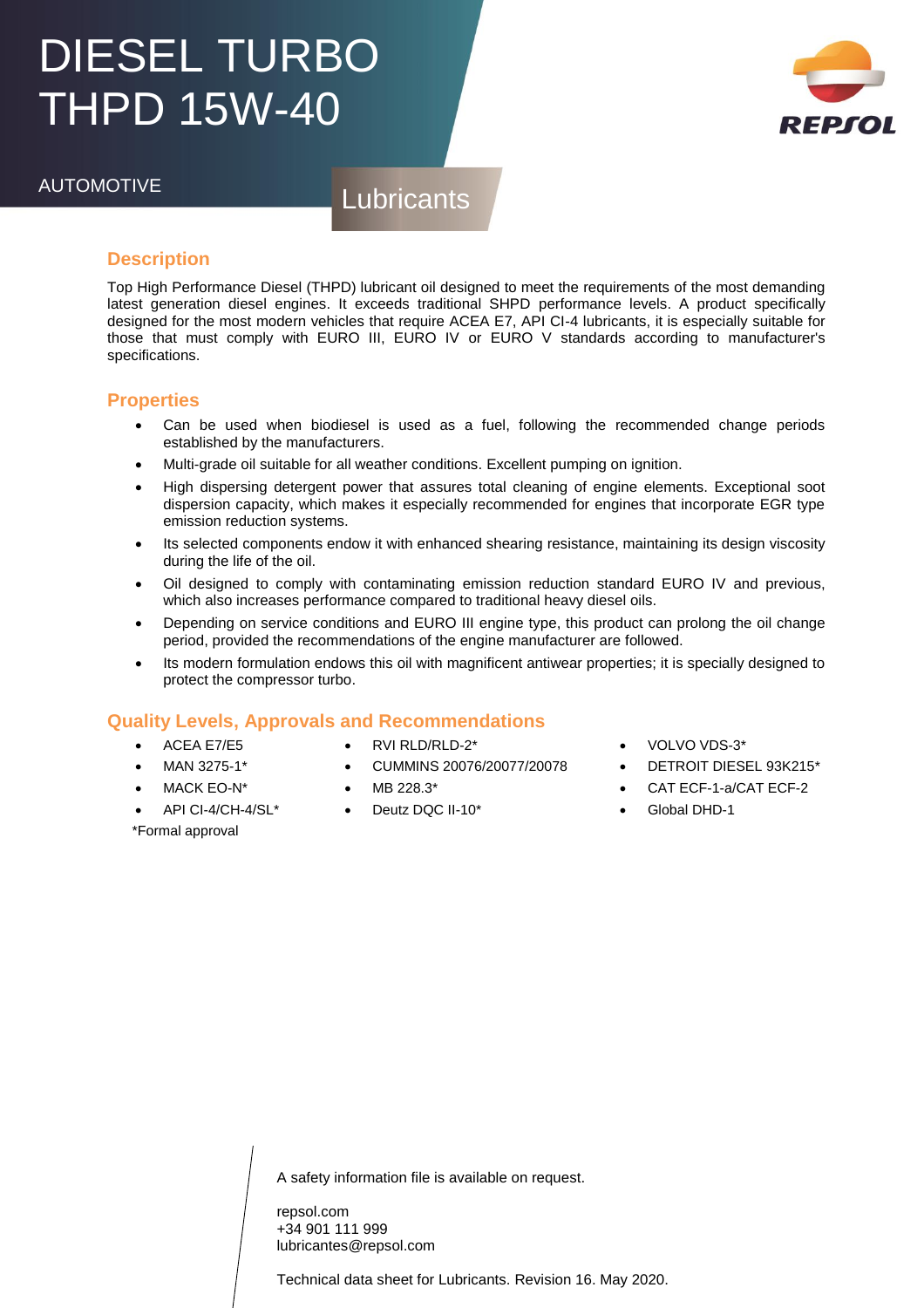## DIESEL TURBO THPD 15W-40



AUTOMOTIVE Lubricants

### **Description**

Top High Performance Diesel (THPD) lubricant oil designed to meet the requirements of the most demanding latest generation diesel engines. It exceeds traditional SHPD performance levels. A product specifically designed for the most modern vehicles that require ACEA E7, API CI-4 lubricants, it is especially suitable for those that must comply with EURO III, EURO IV or EURO V standards according to manufacturer's specifications.

#### **Properties**

- Can be used when biodiesel is used as a fuel, following the recommended change periods established by the manufacturers.
- Multi-grade oil suitable for all weather conditions. Excellent pumping on ignition.
- High dispersing detergent power that assures total cleaning of engine elements. Exceptional soot dispersion capacity, which makes it especially recommended for engines that incorporate EGR type emission reduction systems.
- Its selected components endow it with enhanced shearing resistance, maintaining its design viscosity during the life of the oil.
- Oil designed to comply with contaminating emission reduction standard EURO IV and previous, which also increases performance compared to traditional heavy diesel oils.
- Depending on service conditions and EURO III engine type, this product can prolong the oil change period, provided the recommendations of the engine manufacturer are followed.
- Its modern formulation endows this oil with magnificent antiwear properties; it is specially designed to protect the compressor turbo.

CUMMINS 20076/20077/20078

### **Quality Levels, Approvals and Recommendations**

- ACEA E7/E5
- MAN 3275-1\*
- MACK EO-N\*

\*Formal approval

- API CI-4/CH-4/SL\*
- MB 228.3\*

RVI RLD/RLD-2\*

Deutz DQC II-10\*

- VOLVO VDS-3\*
- DETROIT DIESEL 93K215\*
- CAT ECF-1-a/CAT ECF-2
- Global DHD-1

A safety information file is available on request.

repsol.com +34 901 111 999 lubricantes@repsol.com

Technical data sheet for Lubricants. Revision 16. May 2020.